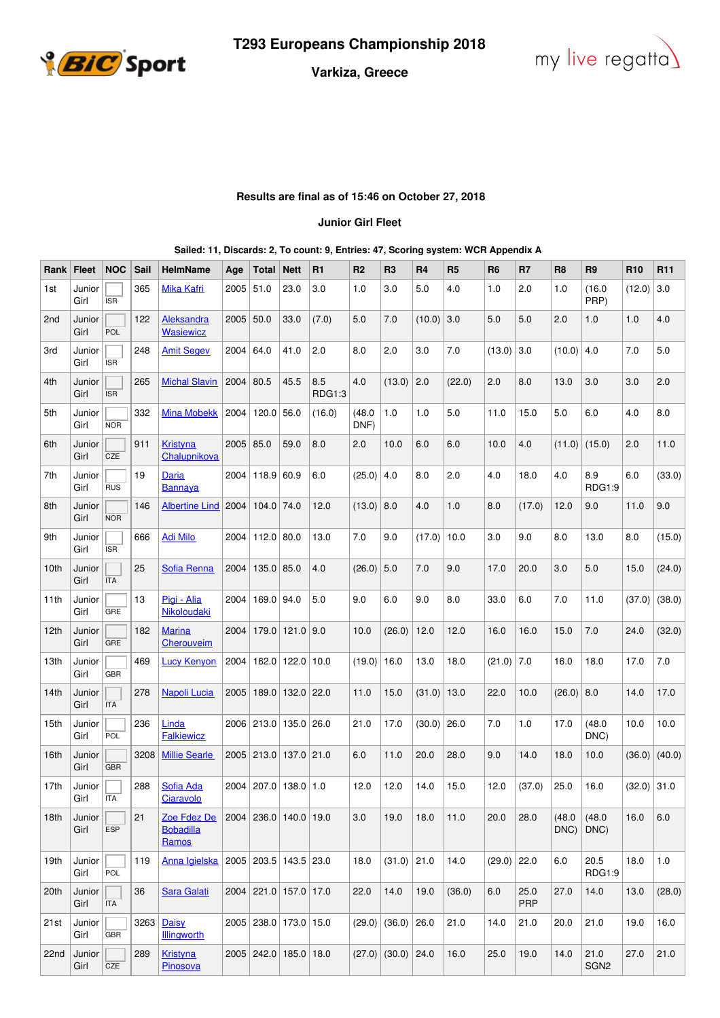



## **Varkiza, Greece**

## **Results are final as of 15:46 on October 27, 2018**

## **Junior Girl Fleet**

| Rank             | <b>Fleet</b>   | <b>NOC</b> | Sail | HelmName                                 | Age  | Total                 | <b>Nett</b>     | R <sub>1</sub> | R <sub>2</sub> | R <sub>3</sub>       | R4     | R <sub>5</sub> | R <sub>6</sub> | R7                 | R <sub>8</sub> | R <sub>9</sub>           | R <sub>10</sub> | R <sub>11</sub> |
|------------------|----------------|------------|------|------------------------------------------|------|-----------------------|-----------------|----------------|----------------|----------------------|--------|----------------|----------------|--------------------|----------------|--------------------------|-----------------|-----------------|
| 1st              | Junior<br>Girl | <b>ISR</b> | 365  | <b>Mika Kafri</b>                        | 2005 | 51.0                  | 23.0            | 3.0            | 1.0            | 3.0                  | 5.0    | 4.0            | 1.0            | 2.0                | 1.0            | (16.0)<br>PRP)           | (12.0)          | 3.0             |
| 2 <sub>nd</sub>  | Junior<br>Girl | POL        | 122  | Aleksandra<br><b>Wasiewicz</b>           | 2005 | 50.0                  | 33.0            | (7.0)          | 5.0            | 7.0                  | (10.0) | 3.0            | 5.0            | 5.0                | 2.0            | 1.0                      | 1.0             | 4.0             |
| 3rd              | Junior<br>Girl | <b>ISR</b> | 248  | <b>Amit Segev</b>                        | 2004 | 64.0                  | 41.0            | 2.0            | 8.0            | 2.0                  | 3.0    | 7.0            | (13.0)         | 3.0                | (10.0)         | 4.0                      | 7.0             | 5.0             |
| 4th              | Junior<br>Girl | <b>ISR</b> | 265  | <b>Michal Slavin</b>                     | 2004 | 80.5                  | 45.5            | 8.5<br>RDG1:3  | 4.0            | (13.0)               | 2.0    | (22.0)         | 2.0            | 8.0                | 13.0           | 3.0                      | 3.0             | 2.0             |
| 5th              | Junior<br>Girl | <b>NOR</b> | 332  | <b>Mina Mobekk</b>                       | 2004 | $120.0$ 56.0          |                 | (16.0)         | (48.0)<br>DNF) | 1.0                  | 1.0    | 5.0            | 11.0           | 15.0               | 5.0            | 6.0                      | 4.0             | 8.0             |
| 6th              | Junior<br>Girl | CZE        | 911  | <b>Kristyna</b><br>Chalupnikova          | 2005 | 85.0                  | 59.0            | 8.0            | 2.0            | 10.0                 | 6.0    | 6.0            | 10.0           | 4.0                | (11.0)         | (15.0)                   | 2.0             | 11.0            |
| 7th              | Junior<br>Girl | <b>RUS</b> | 19   | <b>Daria</b><br>Bannaya                  | 2004 | 118.9 60.9            |                 | 6.0            | (25.0)         | 4.0                  | 8.0    | 2.0            | 4.0            | 18.0               | 4.0            | 8.9<br>RDG1:9            | 6.0             | (33.0)          |
| 8th              | Junior<br>Girl | <b>NOR</b> | 146  | <b>Albertine Lind</b>                    | 2004 | $104.0$ 74.0          |                 | 12.0           | $(13.0)$ 8.0   |                      | 4.0    | 1.0            | 8.0            | (17.0)             | 12.0           | 9.0                      | 11.0            | 9.0             |
| 9th              | Junior<br>Girl | <b>ISR</b> | 666  | <b>Adi Milo</b>                          | 2004 | $112.0$ 80.0          |                 | 13.0           | 7.0            | 9.0                  | (17.0) | 10.0           | 3.0            | 9.0                | 8.0            | 13.0                     | 8.0             | (15.0)          |
| 10th             | Junior<br>Girl | <b>ITA</b> | 25   | Sofia Renna                              | 2004 | $135.0$ 85.0          |                 | 4.0            | (26.0)         | 5.0                  | 7.0    | 9.0            | 17.0           | 20.0               | 3.0            | 5.0                      | 15.0            | (24.0)          |
| 11th             | Junior<br>Girl | GRE        | 13   | Pigi - Alia<br>Nikoloudaki               | 2004 | 169.0 94.0            |                 | 5.0            | 9.0            | 6.0                  | 9.0    | 8.0            | 33.0           | 6.0                | 7.0            | 11.0                     | (37.0)          | (38.0)          |
| 12th             | Junior<br>Girl | <b>GRE</b> | 182  | <b>Marina</b><br>Cherouveim              | 2004 |                       | 179.0 121.0 9.0 |                | 10.0           | (26.0)               | 12.0   | 12.0           | 16.0           | 16.0               | 15.0           | 7.0                      | 24.0            | (32.0)          |
| 13th             | Junior<br>Girl | GBR        | 469  | <b>Lucy Kenyon</b>                       | 2004 | 162.0                 | 122.0           | 10.0           | (19.0)         | 16.0                 | 13.0   | 18.0           | (21.0)         | 7.0                | 16.0           | 18.0                     | 17.0            | 7.0             |
| 14 <sub>th</sub> | Junior<br>Girl | <b>ITA</b> | 278  | Napoli Lucia                             | 2005 | 189.0                 | 132.0           | 22.0           | 11.0           | 15.0                 | (31.0) | 13.0           | 22.0           | 10.0               | (26.0)         | 8.0                      | 14.0            | 17.0            |
| 15th             | Junior<br>Girl | POL        | 236  | Linda<br><b>Falkiewicz</b>               |      | 2006 213.0 135.0 26.0 |                 |                | 21.0           | 17.0                 | (30.0) | 26.0           | 7.0            | 1.0                | 17.0           | (48.0)<br>DNC)           | 10.0            | 10.0            |
| 16th             | Junior<br>Girl | GBR        | 3208 | <b>Millie Searle</b>                     |      | 2005 213.0 137.0 21.0 |                 |                | 6.0            | 11.0                 | 20.0   | 28.0           | 9.0            | 14.0               | 18.0           | 10.0                     | (36.0)          | (40.0)          |
| 17th             | Junior<br>Girl | ITA        | 288  | Sofia Ada<br>Ciaravolo                   | 2004 | 207.0 138.0 1.0       |                 |                | 12.0           | 12.0                 | 14.0   | 15.0           | 12.0           | (37.0)             | 25.0           | 16.0                     | $(32.0)$ 31.0   |                 |
| 18th             | Junior<br>Girl | <b>ESP</b> | 21   | Zoe Fdez De<br><b>Bobadilla</b><br>Ramos |      | 2004 236.0 140.0 19.0 |                 |                | 3.0            | 19.0                 | 18.0   | 11.0           | 20.0           | 28.0               | (48.0)<br>DNC) | (48.0)<br>DNC)           | 16.0            | 6.0             |
| 19th             | Junior<br>Girl | POL        | 119  | Anna Igielska                            |      | 2005 203.5 143.5 23.0 |                 |                | 18.0           | $(31.0)$ 21.0        |        | 14.0           | (29.0)         | 22.0               | 6.0            | 20.5<br>RDG1:9           | 18.0            | 1.0             |
| 20th             | Junior<br>Girl | <b>ITA</b> | 36   | <b>Sara Galati</b>                       |      | 2004 221.0 157.0 17.0 |                 |                | 22.0           | 14.0                 | 19.0   | (36.0)         | 6.0            | 25.0<br><b>PRP</b> | 27.0           | 14.0                     | 13.0            | (28.0)          |
| 21st             | Junior<br>Girl | <b>GBR</b> | 3263 | Daisy<br><b>Illingworth</b>              |      | 2005 238.0 173.0 15.0 |                 |                |                | $(29.0)$ (36.0)      | 26.0   | 21.0           | 14.0           | 21.0               | 20.0           | 21.0                     | 19.0            | 16.0            |
| 22nd             | Junior<br>Girl | CZE        | 289  | <b>Kristyna</b><br>Pinosova              |      | 2005 242.0 185.0 18.0 |                 |                |                | $(27.0)$ (30.0) 24.0 |        | 16.0           | 25.0           | 19.0               | 14.0           | 21.0<br>SGN <sub>2</sub> | 27.0            | 21.0            |